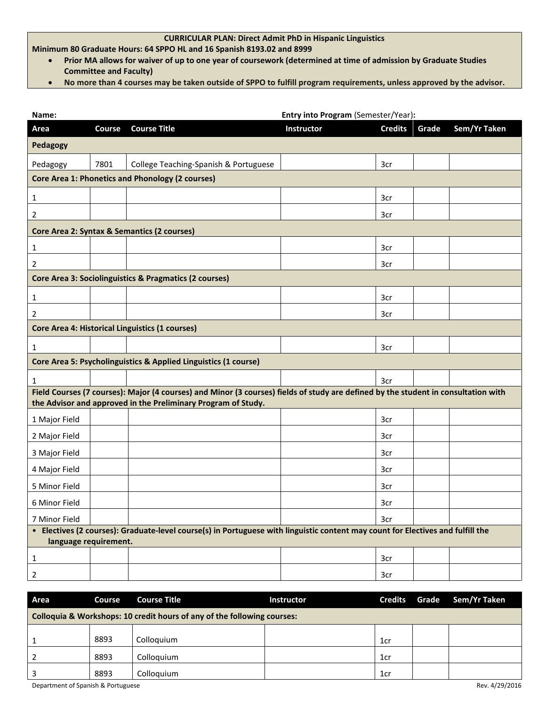## **CURRICULAR PLAN: Direct Admit PhD in Hispanic Linguistics**

**Minimum 80 Graduate Hours: 64 SPPO HL and 16 Spanish 8193.02 and 8999**

- **Prior MA allows for waiver of up to one year of coursework (determined at time of admission by Graduate Studies Committee and Faculty)**
- **No more than 4 courses may be taken outside of SPPO to fulfill program requirements, unless approved by the advisor.**

| Name:                                                                                                                                                                                               |        | Entry into Program (Semester/Year):                             |                   |                |       |              |
|-----------------------------------------------------------------------------------------------------------------------------------------------------------------------------------------------------|--------|-----------------------------------------------------------------|-------------------|----------------|-------|--------------|
| Area                                                                                                                                                                                                | Course | <b>Course Title</b>                                             | <b>Instructor</b> | <b>Credits</b> | Grade | Sem/Yr Taken |
| Pedagogy                                                                                                                                                                                            |        |                                                                 |                   |                |       |              |
| Pedagogy                                                                                                                                                                                            | 7801   | College Teaching-Spanish & Portuguese                           |                   | 3cr            |       |              |
|                                                                                                                                                                                                     |        | <b>Core Area 1: Phonetics and Phonology (2 courses)</b>         |                   |                |       |              |
| 1                                                                                                                                                                                                   |        |                                                                 |                   | 3cr            |       |              |
| 2                                                                                                                                                                                                   |        |                                                                 |                   | 3cr            |       |              |
|                                                                                                                                                                                                     |        | Core Area 2: Syntax & Semantics (2 courses)                     |                   |                |       |              |
| $\mathbf{1}$                                                                                                                                                                                        |        |                                                                 |                   | 3cr            |       |              |
| 2                                                                                                                                                                                                   |        |                                                                 |                   | 3cr            |       |              |
|                                                                                                                                                                                                     |        | Core Area 3: Sociolinguistics & Pragmatics (2 courses)          |                   |                |       |              |
| $\mathbf{1}$                                                                                                                                                                                        |        |                                                                 |                   | 3cr            |       |              |
| $\overline{2}$                                                                                                                                                                                      |        |                                                                 |                   | 3cr            |       |              |
|                                                                                                                                                                                                     |        | Core Area 4: Historical Linguistics (1 courses)                 |                   |                |       |              |
| 1                                                                                                                                                                                                   |        |                                                                 |                   | 3cr            |       |              |
|                                                                                                                                                                                                     |        | Core Area 5: Psycholinguistics & Applied Linguistics (1 course) |                   |                |       |              |
| 1                                                                                                                                                                                                   |        |                                                                 |                   | 3cr            |       |              |
| Field Courses (7 courses): Major (4 courses) and Minor (3 courses) fields of study are defined by the student in consultation with<br>the Advisor and approved in the Preliminary Program of Study. |        |                                                                 |                   |                |       |              |
| 1 Major Field                                                                                                                                                                                       |        |                                                                 |                   | 3cr            |       |              |
| 2 Major Field                                                                                                                                                                                       |        |                                                                 |                   | 3cr            |       |              |
| 3 Major Field                                                                                                                                                                                       |        |                                                                 |                   | 3cr            |       |              |
| 4 Major Field                                                                                                                                                                                       |        |                                                                 |                   | 3cr            |       |              |
| 5 Minor Field                                                                                                                                                                                       |        |                                                                 |                   | 3cr            |       |              |
| 6 Minor Field                                                                                                                                                                                       |        |                                                                 |                   | 3cr            |       |              |
| 7 Minor Field                                                                                                                                                                                       |        |                                                                 |                   | 3cr            |       |              |
| • Electives (2 courses): Graduate-level course(s) in Portuguese with linguistic content may count for Electives and fulfill the<br>language requirement.                                            |        |                                                                 |                   |                |       |              |
| 1                                                                                                                                                                                                   |        |                                                                 |                   | 3cr            |       |              |
|                                                                                                                                                                                                     |        |                                                                 |                   | 3cr            |       |              |
| $\overline{2}$                                                                                                                                                                                      |        |                                                                 |                   |                |       |              |

| Area                                                                    | Course | <b>Course Title</b> | Instructor | <b>Credits</b>  | Grade | Sem/Yr Taken |
|-------------------------------------------------------------------------|--------|---------------------|------------|-----------------|-------|--------------|
| Colloquia & Workshops: 10 credit hours of any of the following courses: |        |                     |            |                 |       |              |
|                                                                         | 8893   | Colloquium          |            | 1 <sub>cr</sub> |       |              |
|                                                                         | 8893   | Colloquium          |            | 1 <sub>cr</sub> |       |              |
|                                                                         | 8893   | Colloauium          |            | 1 <sub>cr</sub> |       |              |